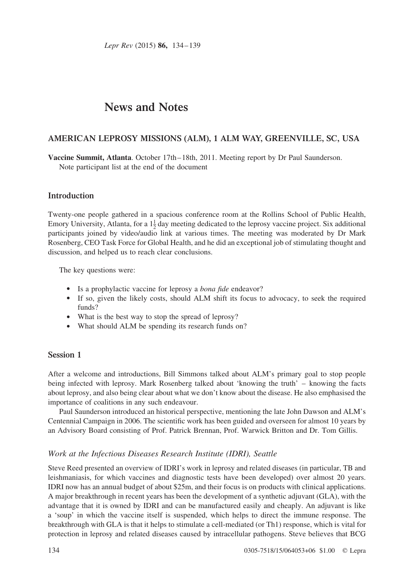Lepr Rev (2015) 86, 134–139

# News and Notes

# AMERICAN LEPROSY MISSIONS (ALM), 1 ALM WAY, GREENVILLE, SC, USA

Vaccine Summit, Atlanta. October 17th–18th, 2011. Meeting report by Dr Paul Saunderson. Note participant list at the end of the document

## Introduction

Twenty-one people gathered in a spacious conference room at the Rollins School of Public Health, Emory University, Atlanta, for a  $1\frac{1}{2}$  day meeting dedicated to the leprosy vaccine project. Six additional participants joined by video/audio link at various times. The meeting was moderated by Dr Mark Rosenberg, CEO Task Force for Global Health, and he did an exceptional job of stimulating thought and discussion, and helped us to reach clear conclusions.

The key questions were:

- . Is a prophylactic vaccine for leprosy a bona fide endeavor?
- . If so, given the likely costs, should ALM shift its focus to advocacy, to seek the required funds?
- . What is the best way to stop the spread of leprosy?
- . What should ALM be spending its research funds on?

# Session 1

After a welcome and introductions, Bill Simmons talked about ALM's primary goal to stop people being infected with leprosy. Mark Rosenberg talked about 'knowing the truth' – knowing the facts about leprosy, and also being clear about what we don't know about the disease. He also emphasised the importance of coalitions in any such endeavour.

Paul Saunderson introduced an historical perspective, mentioning the late John Dawson and ALM's Centennial Campaign in 2006. The scientific work has been guided and overseen for almost 10 years by an Advisory Board consisting of Prof. Patrick Brennan, Prof. Warwick Britton and Dr. Tom Gillis.

# Work at the Infectious Diseases Research Institute (IDRI), Seattle

Steve Reed presented an overview of IDRI's work in leprosy and related diseases (in particular, TB and leishmaniasis, for which vaccines and diagnostic tests have been developed) over almost 20 years. IDRI now has an annual budget of about \$25m, and their focus is on products with clinical applications. A major breakthrough in recent years has been the development of a synthetic adjuvant (GLA), with the advantage that it is owned by IDRI and can be manufactured easily and cheaply. An adjuvant is like a 'soup' in which the vaccine itself is suspended, which helps to direct the immune response. The breakthrough with GLA is that it helps to stimulate a cell-mediated (or Th1) response, which is vital for protection in leprosy and related diseases caused by intracellular pathogens. Steve believes that BCG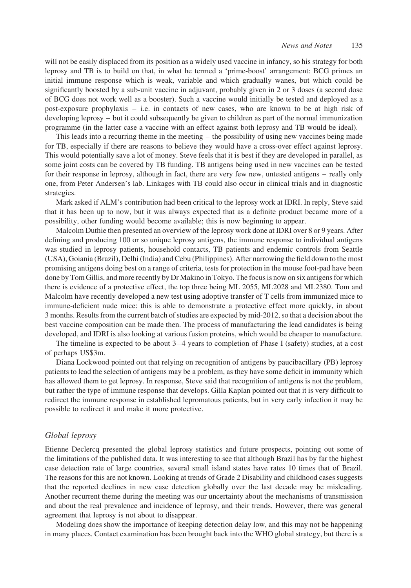will not be easily displaced from its position as a widely used vaccine in infancy, so his strategy for both leprosy and TB is to build on that, in what he termed a 'prime-boost' arrangement: BCG primes an initial immune response which is weak, variable and which gradually wanes, but which could be significantly boosted by a sub-unit vaccine in adjuvant, probably given in 2 or 3 doses (a second dose of BCG does not work well as a booster). Such a vaccine would initially be tested and deployed as a post-exposure prophylaxis – i.e. in contacts of new cases, who are known to be at high risk of developing leprosy – but it could subsequently be given to children as part of the normal immunization programme (in the latter case a vaccine with an effect against both leprosy and TB would be ideal).

This leads into a recurring theme in the meeting – the possibility of using new vaccines being made for TB, especially if there are reasons to believe they would have a cross-over effect against leprosy. This would potentially save a lot of money. Steve feels that it is best if they are developed in parallel, as some joint costs can be covered by TB funding. TB antigens being used in new vaccines can be tested for their response in leprosy, although in fact, there are very few new, untested antigens – really only one, from Peter Andersen's lab. Linkages with TB could also occur in clinical trials and in diagnostic strategies.

Mark asked if ALM's contribution had been critical to the leprosy work at IDRI. In reply, Steve said that it has been up to now, but it was always expected that as a definite product became more of a possibility, other funding would become available; this is now beginning to appear.

Malcolm Duthie then presented an overview of the leprosy work done at IDRI over 8 or 9 years. After defining and producing 100 or so unique leprosy antigens, the immune response to individual antigens was studied in leprosy patients, household contacts, TB patients and endemic controls from Seattle (USA), Goiania (Brazil), Delhi (India) and Cebu (Philippines). After narrowing the field down to the most promising antigens doing best on a range of criteria, tests for protection in the mouse foot-pad have been done by Tom Gillis, and more recently by Dr Makino in Tokyo. The focus is now on six antigens for which there is evidence of a protective effect, the top three being ML 2055, ML2028 and ML2380. Tom and Malcolm have recently developed a new test using adoptive transfer of T cells from immunized mice to immune-deficient nude mice: this is able to demonstrate a protective effect more quickly, in about 3 months. Results from the current batch of studies are expected by mid-2012, so that a decision about the best vaccine composition can be made then. The process of manufacturing the lead candidates is being developed, and IDRI is also looking at various fusion proteins, which would be cheaper to manufacture.

The timeline is expected to be about 3–4 years to completion of Phase I (safety) studies, at a cost of perhaps US\$3m.

Diana Lockwood pointed out that relying on recognition of antigens by paucibacillary (PB) leprosy patients to lead the selection of antigens may be a problem, as they have some deficit in immunity which has allowed them to get leprosy. In response, Steve said that recognition of antigens is not the problem, but rather the type of immune response that develops. Gilla Kaplan pointed out that it is very difficult to redirect the immune response in established lepromatous patients, but in very early infection it may be possible to redirect it and make it more protective.

## Global leprosy

Etienne Declercq presented the global leprosy statistics and future prospects, pointing out some of the limitations of the published data. It was interesting to see that although Brazil has by far the highest case detection rate of large countries, several small island states have rates 10 times that of Brazil. The reasons for this are not known. Looking at trends of Grade 2 Disability and childhood cases suggests that the reported declines in new case detection globally over the last decade may be misleading. Another recurrent theme during the meeting was our uncertainty about the mechanisms of transmission and about the real prevalence and incidence of leprosy, and their trends. However, there was general agreement that leprosy is not about to disappear.

Modeling does show the importance of keeping detection delay low, and this may not be happening in many places. Contact examination has been brought back into the WHO global strategy, but there is a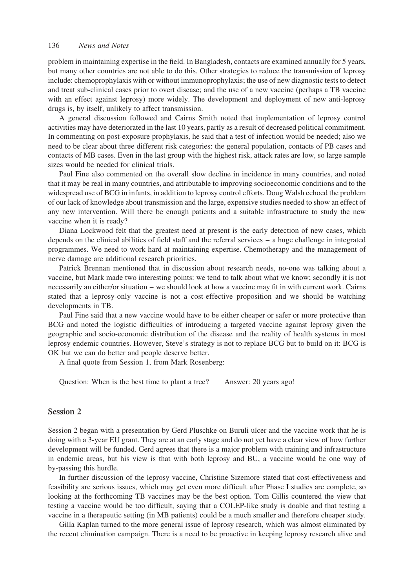#### 136 News and Notes

problem in maintaining expertise in the field. In Bangladesh, contacts are examined annually for 5 years, but many other countries are not able to do this. Other strategies to reduce the transmission of leprosy include: chemoprophylaxis with or without immunoprophylaxis; the use of new diagnostic tests to detect and treat sub-clinical cases prior to overt disease; and the use of a new vaccine (perhaps a TB vaccine with an effect against leprosy) more widely. The development and deployment of new anti-leprosy drugs is, by itself, unlikely to affect transmission.

A general discussion followed and Cairns Smith noted that implementation of leprosy control activities may have deteriorated in the last 10 years, partly as a result of decreased political commitment. In commenting on post-exposure prophylaxis, he said that a test of infection would be needed; also we need to be clear about three different risk categories: the general population, contacts of PB cases and contacts of MB cases. Even in the last group with the highest risk, attack rates are low, so large sample sizes would be needed for clinical trials.

Paul Fine also commented on the overall slow decline in incidence in many countries, and noted that it may be real in many countries, and attributable to improving socioeconomic conditions and to the widespread use of BCG in infants, in addition to leprosy control efforts. Doug Walsh echoed the problem of our lack of knowledge about transmission and the large, expensive studies needed to show an effect of any new intervention. Will there be enough patients and a suitable infrastructure to study the new vaccine when it is ready?

Diana Lockwood felt that the greatest need at present is the early detection of new cases, which depends on the clinical abilities of field staff and the referral services – a huge challenge in integrated programmes. We need to work hard at maintaining expertise. Chemotherapy and the management of nerve damage are additional research priorities.

Patrick Brennan mentioned that in discussion about research needs, no-one was talking about a vaccine, but Mark made two interesting points: we tend to talk about what we know; secondly it is not necessarily an either/or situation – we should look at how a vaccine may fit in with current work. Cairns stated that a leprosy-only vaccine is not a cost-effective proposition and we should be watching developments in TB.

Paul Fine said that a new vaccine would have to be either cheaper or safer or more protective than BCG and noted the logistic difficulties of introducing a targeted vaccine against leprosy given the geographic and socio-economic distribution of the disease and the reality of health systems in most leprosy endemic countries. However, Steve's strategy is not to replace BCG but to build on it: BCG is OK but we can do better and people deserve better.

A final quote from Session 1, from Mark Rosenberg:

Question: When is the best time to plant a tree? Answer: 20 years ago!

## Session 2

Session 2 began with a presentation by Gerd Pluschke on Buruli ulcer and the vaccine work that he is doing with a 3-year EU grant. They are at an early stage and do not yet have a clear view of how further development will be funded. Gerd agrees that there is a major problem with training and infrastructure in endemic areas, but his view is that with both leprosy and BU, a vaccine would be one way of by-passing this hurdle.

In further discussion of the leprosy vaccine, Christine Sizemore stated that cost-effectiveness and feasibility are serious issues, which may get even more difficult after Phase I studies are complete, so looking at the forthcoming TB vaccines may be the best option. Tom Gillis countered the view that testing a vaccine would be too difficult, saying that a COLEP-like study is doable and that testing a vaccine in a therapeutic setting (in MB patients) could be a much smaller and therefore cheaper study.

Gilla Kaplan turned to the more general issue of leprosy research, which was almost eliminated by the recent elimination campaign. There is a need to be proactive in keeping leprosy research alive and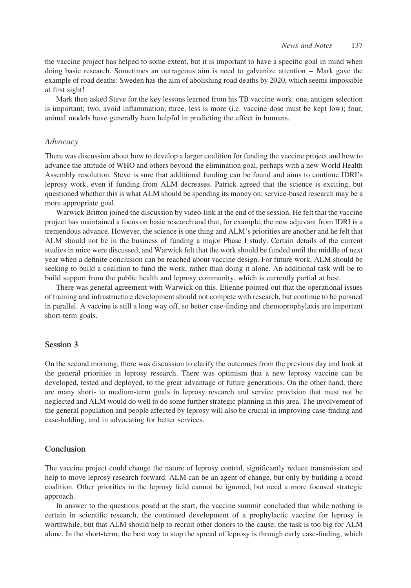the vaccine project has helped to some extent, but it is important to have a specific goal in mind when doing basic research. Sometimes an outrageous aim is need to galvanize attention – Mark gave the example of road deaths: Sweden has the aim of abolishing road deaths by 2020, which seems impossible at first sight!

Mark then asked Steve for the key lessons learned from his TB vaccine work: one, antigen selection is important; two, avoid inflammation; three, less is more (i.e. vaccine dose must be kept low); four, animal models have generally been helpful in predicting the effect in humans.

## Advocacy

There was discussion about how to develop a larger coalition for funding the vaccine project and how to advance the attitude of WHO and others beyond the elimination goal, perhaps with a new World Health Assembly resolution. Steve is sure that additional funding can be found and aims to continue IDRI's leprosy work, even if funding from ALM decreases. Patrick agreed that the science is exciting, but questioned whether this is what ALM should be spending its money on; service-based research may be a more appropriate goal.

Warwick Britton joined the discussion by video-link at the end of the session. He felt that the vaccine project has maintained a focus on basic research and that, for example, the new adjuvant from IDRI is a tremendous advance. However, the science is one thing and ALM's priorities are another and he felt that ALM should not be in the business of funding a major Phase I study. Certain details of the current studies in mice were discussed, and Warwick felt that the work should be funded until the middle of next year when a definite conclusion can be reached about vaccine design. For future work, ALM should be seeking to build a coalition to fund the work, rather than doing it alone. An additional task will be to build support from the public health and leprosy community, which is currently partial at best.

There was general agreement with Warwick on this. Etienne pointed out that the operational issues of training and infrastructure development should not compete with research, but continue to be pursued in parallel. A vaccine is still a long way off, so better case-finding and chemoprophylaxis are important short-term goals.

## Session 3

On the second morning, there was discussion to clarify the outcomes from the previous day and look at the general priorities in leprosy research. There was optimism that a new leprosy vaccine can be developed, tested and deployed, to the great advantage of future generations. On the other hand, there are many short- to medium-term goals in leprosy research and service provision that must not be neglected and ALM would do well to do some further strategic planning in this area. The involvement of the general population and people affected by leprosy will also be crucial in improving case-finding and case-holding, and in advocating for better services.

## Conclusion

The vaccine project could change the nature of leprosy control, significantly reduce transmission and help to move leprosy research forward. ALM can be an agent of change, but only by building a broad coalition. Other priorities in the leprosy field cannot be ignored, but need a more focused strategic approach.

In answer to the questions posed at the start, the vaccine summit concluded that while nothing is certain in scientific research, the continued development of a prophylactic vaccine for leprosy is worthwhile, but that ALM should help to recruit other donors to the cause; the task is too big for ALM alone. In the short-term, the best way to stop the spread of leprosy is through early case-finding, which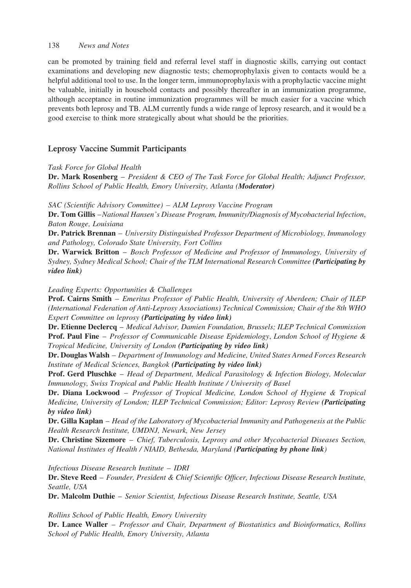## 138 News and Notes

can be promoted by training field and referral level staff in diagnostic skills, carrying out contact examinations and developing new diagnostic tests; chemoprophylaxis given to contacts would be a helpful additional tool to use. In the longer term, immunoprophylaxis with a prophylactic vaccine might be valuable, initially in household contacts and possibly thereafter in an immunization programme, although acceptance in routine immunization programmes will be much easier for a vaccine which prevents both leprosy and TB. ALM currently funds a wide range of leprosy research, and it would be a good exercise to think more strategically about what should be the priorities.

# Leprosy Vaccine Summit Participants

Task Force for Global Health

Dr. Mark Rosenberg - President & CEO of The Task Force for Global Health; Adjunct Professor, Rollins School of Public Health, Emory University, Atlanta (Moderator)

SAC (Scientific Advisory Committee) – ALM Leprosy Vaccine Program

Dr. Tom Gillis -National Hansen's Disease Program, Immunity/Diagnosis of Mycobacterial Infection, Baton Rouge, Louisiana

Dr. Patrick Brennan - University Distinguished Professor Department of Microbiology, Immunology and Pathology, Colorado State University, Fort Collins

Dr. Warwick Britton - Bosch Professor of Medicine and Professor of Immunology, University of Sydney, Sydney Medical School; Chair of the TLM International Research Committee (Participating by video link)

Leading Experts: Opportunities & Challenges

Prof. Cairns Smith - Emeritus Professor of Public Health, University of Aberdeen; Chair of ILEP (International Federation of Anti-Leprosy Associations) Technical Commission; Chair of the 8th WHO Expert Committee on leprosy (Participating by video link)

Dr. Etienne Declercq – Medical Advisor, Damien Foundation, Brussels; ILEP Technical Commission **Prof. Paul Fine** – Professor of Communicable Disease Epidemiology, London School of Hygiene & Tropical Medicine, University of London (Participating by video link)

Dr. Douglas Walsh – Department of Immunology and Medicine, United States Armed Forces Research Institute of Medical Sciences, Bangkok (Participating by video link)

Prof. Gerd Pluschke - Head of Department, Medical Parasitology & Infection Biology, Molecular Immunology, Swiss Tropical and Public Health Institute / University of Basel

Dr. Diana Lockwood - Professor of Tropical Medicine, London School of Hygiene & Tropical Medicine, University of London; ILEP Technical Commission; Editor: Leprosy Review (Participating by video link)

Dr. Gilla Kaplan – Head of the Laboratory of Mycobacterial Immunity and Pathogenesis at the Public Health Research Institute, UMDNJ, Newark, New Jersey

Dr. Christine Sizemore – Chief, Tuberculosis, Leprosy and other Mycobacterial Diseases Section, National Institutes of Health / NIAID, Bethesda, Maryland (Participating by phone link)

Infectious Disease Research Institute – IDRI

Dr. Steve Reed – Founder, President & Chief Scientific Officer, Infectious Disease Research Institute, Seattle, USA

Dr. Malcolm Duthie – Senior Scientist, Infectious Disease Research Institute, Seattle, USA

Rollins School of Public Health, Emory University

Dr. Lance Waller – Professor and Chair, Department of Biostatistics and Bioinformatics, Rollins School of Public Health, Emory University, Atlanta